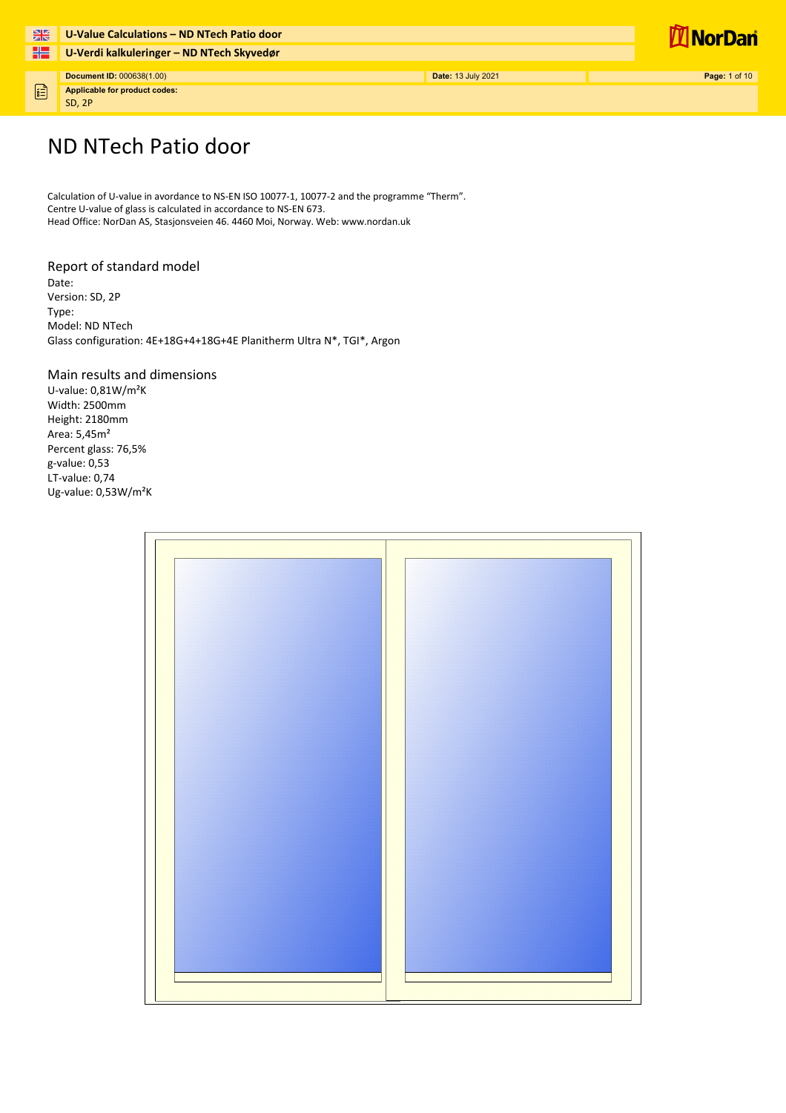

固

**U-Verdi kalkuleringer – ND NTech SkyvedørDocument ID:** 000638(1.00) **Page:** 1 of 10 **Date:** 13 July 2021 **Page:** 1 of 10

**Applicable for product codes:** SD, 2P



## ND NTech Patio door

**U-Value Calculations – ND NTech Patio door**

Calculation of U-value in avordance to NS-EN ISO 10077-1, 10077-2 and the programme "Therm". Centre U-value of glass is calculated in accordance to NS-EN 673. Head Office: NorDan AS, Stasjonsveien 46. 4460 Moi, Norway. Web: www.nordan.uk

#### Report of standard model

Date: Version: SD, 2P Type: Model: ND NTech Glass configuration: 4E+18G+4+18G+4E Planitherm Ultra N\*, TGI\*, Argon

#### Main results and dimensions

U-value: 0,81W/m²K Width: 2500mm Height: 2180mm Area: 5,45m² Percent glass: 76,5% g-value: 0,53 LT-value: 0,74 Ug-value: 0,53W/m²K

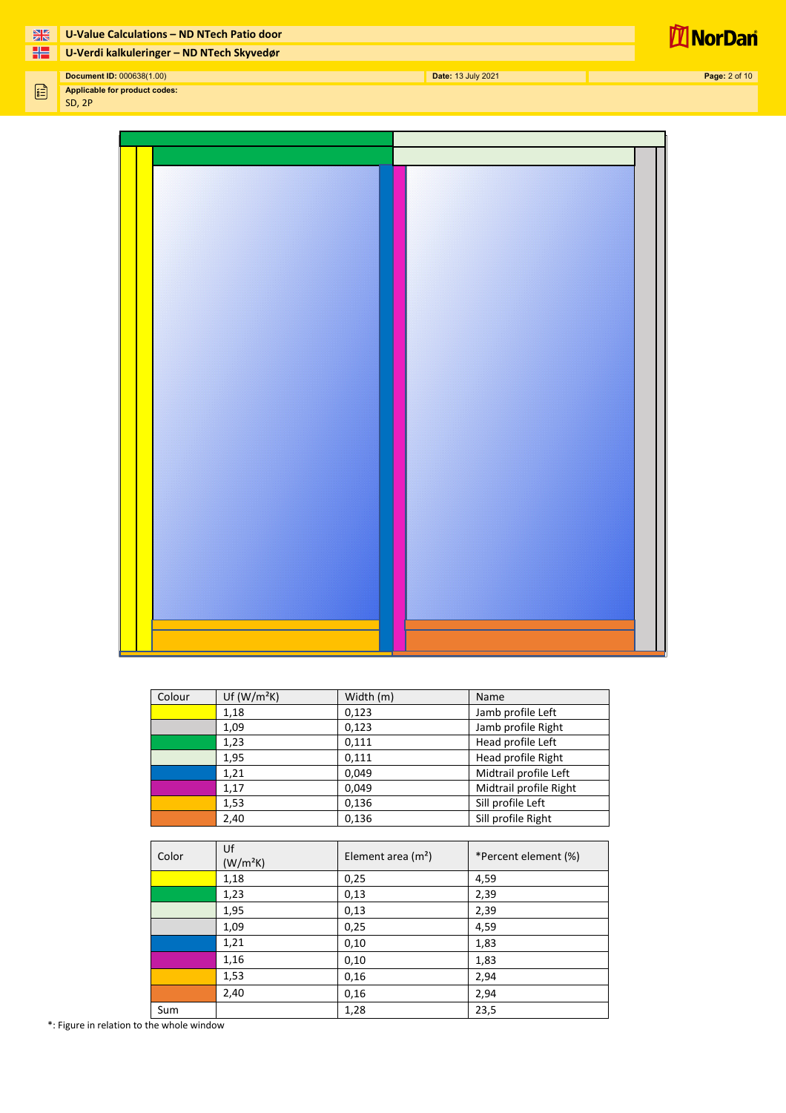

**U-Value Calculations – ND NTech Patio door**

**U-Verdi kalkuleringer – ND NTech Skyvedør**

 $\begin{picture}(20,20) \put(0,0){\line(1,0){10}} \put(15,0){\line(1,0){10}} \put(15,0){\line(1,0){10}} \put(15,0){\line(1,0){10}} \put(15,0){\line(1,0){10}} \put(15,0){\line(1,0){10}} \put(15,0){\line(1,0){10}} \put(15,0){\line(1,0){10}} \put(15,0){\line(1,0){10}} \put(15,0){\line(1,0){10}} \put(15,0){\line(1,0){10}} \put(15,0){\line(1$ **Applicable for product codes:** SD, 2P

| Colour | Uf $(W/m^2K)$ | Width (m) | Name                   |
|--------|---------------|-----------|------------------------|
|        | 1,18          | 0,123     | Jamb profile Left      |
|        | 1,09          | 0,123     | Jamb profile Right     |
|        | 1,23          | 0.111     | Head profile Left      |
|        | 1,95          | 0.111     | Head profile Right     |
|        | 1,21          | 0.049     | Midtrail profile Left  |
|        | 1,17          | 0,049     | Midtrail profile Right |
|        | 1,53          | 0,136     | Sill profile Left      |
|        | 2,40          | 0,136     | Sill profile Right     |

| Color | Uf<br>(W/m <sup>2</sup> K) | Element area $(m2)$ | *Percent element (%) |
|-------|----------------------------|---------------------|----------------------|
|       | 1,18                       | 0,25                | 4,59                 |
|       | 1,23                       | 0,13                | 2,39                 |
|       | 1,95                       | 0,13                | 2,39                 |
|       | 1,09                       | 0,25                | 4,59                 |
|       | 1,21                       | 0,10                | 1,83                 |
|       | 1,16                       | 0,10                | 1,83                 |
|       | 1,53                       | 0,16                | 2,94                 |
|       | 2,40                       | 0,16                | 2,94                 |
| Sum   |                            | 1,28                | 23,5                 |

\*: Figure in relation to the whole window

**Document ID:** 000638(1.00) **Date:** 13 July 2021 **Page:** 2 of 10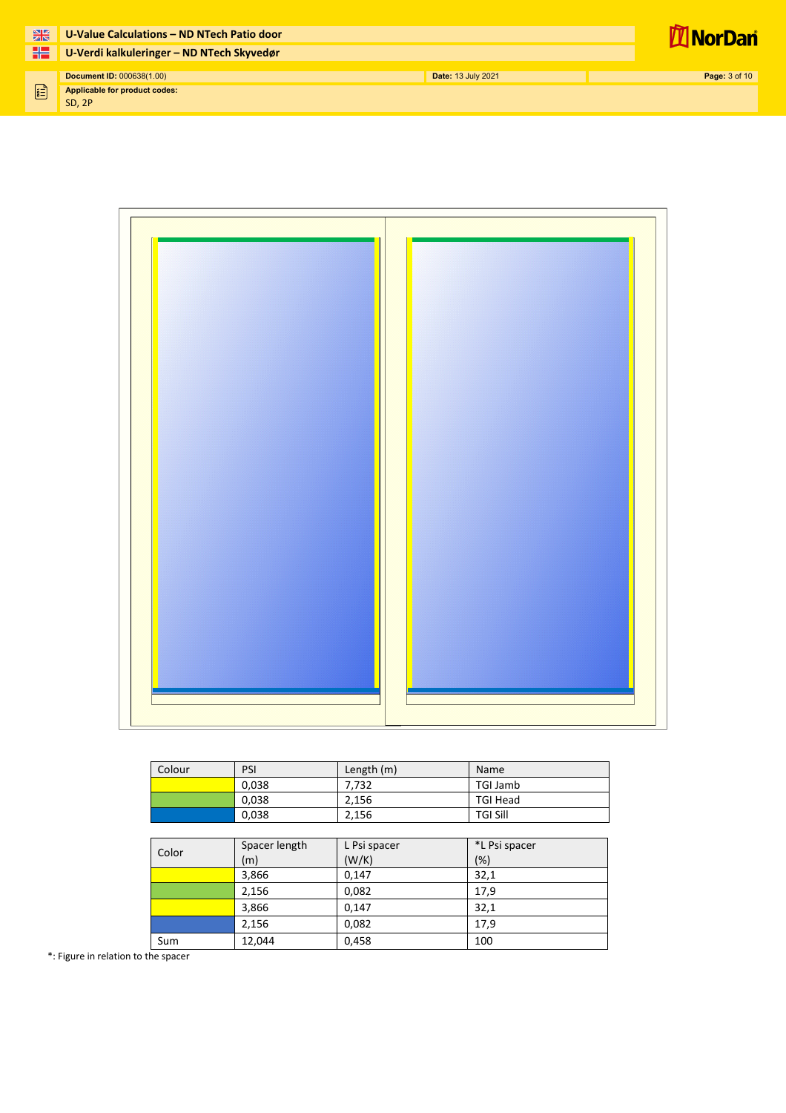| 米 | U-Value Calculations - ND NTech Patio door     |                    | <b>NorDan</b>        |
|---|------------------------------------------------|--------------------|----------------------|
| 噐 | U-Verdi kalkuleringer - ND NTech Skyvedør      |                    |                      |
|   |                                                |                    |                      |
|   | Document ID: 000638(1.00)                      | Date: 13 July 2021 | <b>Page: 3 of 10</b> |
| 倡 | Applicable for product codes:<br><b>SD, 2P</b> |                    |                      |

| Colour | PSI   | Length $(m)$ | Name            |
|--------|-------|--------------|-----------------|
|        | 0,038 | 7.732        | TGI Jamb        |
|        | 0,038 | 2.156        | <b>TGI Head</b> |
|        | 0,038 | 2.156        | <b>TGI Sill</b> |

| Color | Spacer length<br>(m) | L Psi spacer<br>(W/K) | *L Psi spacer<br>(%) |
|-------|----------------------|-----------------------|----------------------|
|       | 3,866                | 0.147                 | 32,1                 |
|       | 2,156                | 0,082                 | 17,9                 |
|       | 3,866                | 0.147                 | 32,1                 |
|       | 2,156                | 0,082                 | 17,9                 |
| Sum   | 12,044               | 0,458                 | 100                  |

\*: Figure in relation to the spacer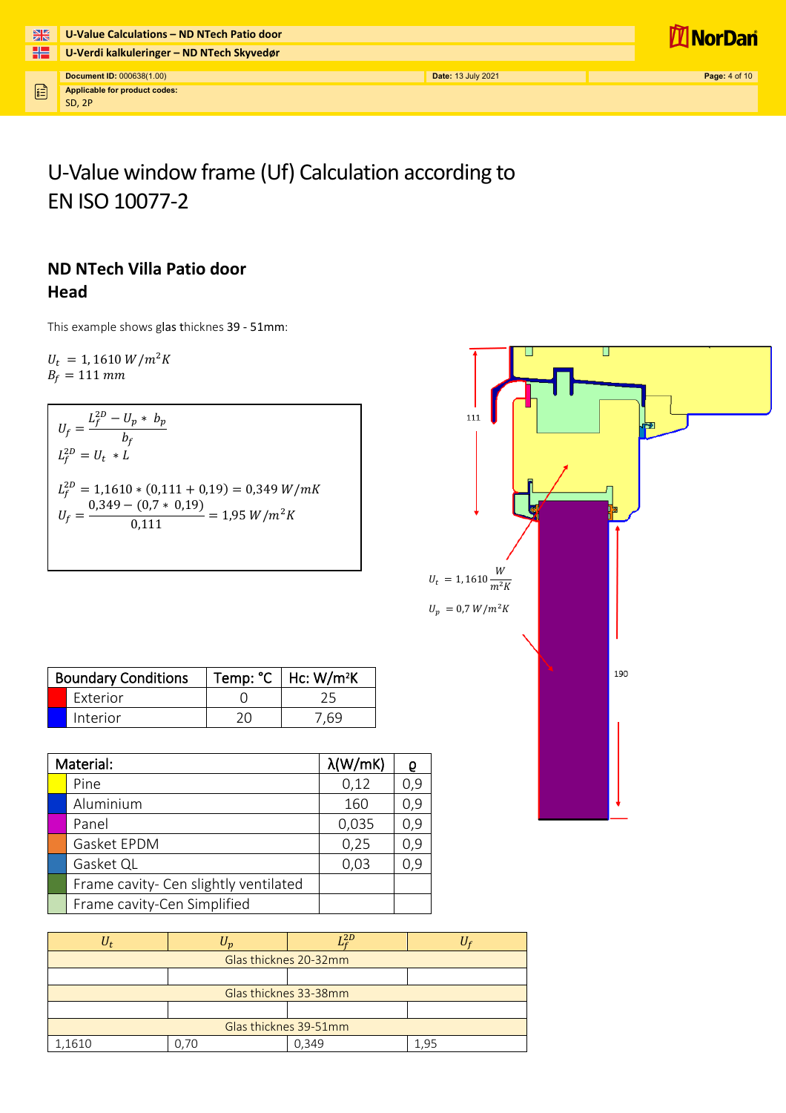| 米            | U-Value Calculations - ND NTech Patio door     |                           | <b>I</b> NorDan      |
|--------------|------------------------------------------------|---------------------------|----------------------|
| 42           | U-Verdi kalkuleringer - ND NTech Skyvedør      |                           |                      |
|              | Document ID: 000638(1.00)                      | <b>Date: 13 July 2021</b> | <b>Page: 4 of 10</b> |
| $\mathbf{E}$ | Applicable for product codes:<br><b>SD. 2P</b> |                           |                      |

# U-Value window frame (Uf) Calculation according to EN ISO 10077-2

#### **ND NTech Villa Patio door Head**

This example shows glas thicknes 39 - 51mm:

 $U_t = 1,1610 W/m^2K$  $B_f = 111 \; mm$ 

 $U_f = \frac{L_f^{2D} - U_p * b_p}{h_c}$  $p_f^{\vphantom{\dagger}}$  $L_f^{2D} = U_t * L$  $L_f^{2D} = 1{,}1610 * (0{,}111 + 0{,}19) = 0{,}349 W/m$  $U_f = \frac{0.349 - (0.7 * 0.19)}{0.111} = 1.95 W/m^2K$ 

| <b>Boundary Conditions</b> |                 | Temp: $°C$   Hc: W/m <sup>2</sup> K |
|----------------------------|-----------------|-------------------------------------|
|                            | <b>Exterior</b> |                                     |
|                            | Interior        | '.69                                |

| Material:                             | $\lambda$ (W/mK) |     |
|---------------------------------------|------------------|-----|
| Pine                                  | 0,12             | 0,9 |
| Aluminium                             | 160              | 0,9 |
| Panel                                 | 0,035            | 0,9 |
| Gasket EPDM                           | 0,25             | 0,9 |
| Gasket QL                             | 0,03             | 0,9 |
| Frame cavity- Cen slightly ventilated |                  |     |
| Frame cavity-Cen Simplified           |                  |     |

|                       |    | r 2 D                 |      |
|-----------------------|----|-----------------------|------|
|                       |    | Glas thicknes 20-32mm |      |
|                       |    |                       |      |
|                       |    | Glas thicknes 33-38mm |      |
|                       |    |                       |      |
| Glas thicknes 39-51mm |    |                       |      |
| 1,1610                | 70 | 0.349                 | 1.95 |

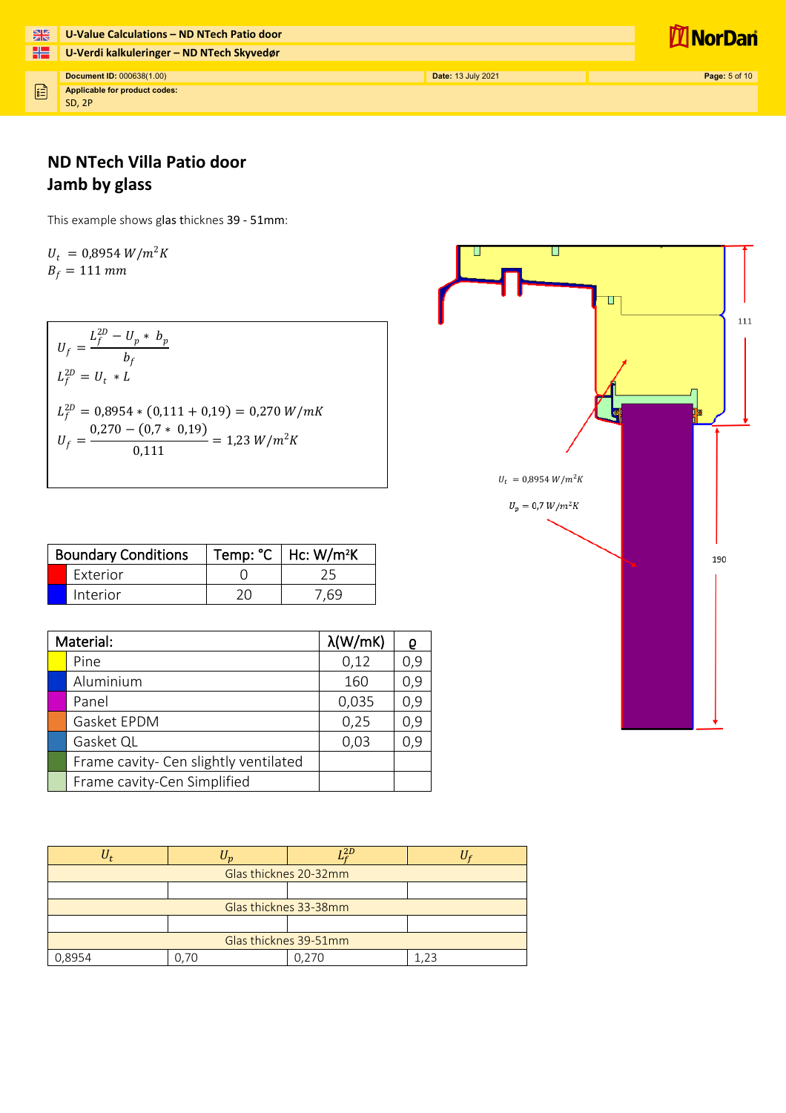| H <sub>2</sub> | U-Value Calculations - ND NTech Patio door     |                           | <b>NorDan</b>        |
|----------------|------------------------------------------------|---------------------------|----------------------|
| ۲Z             | U-Verdi kalkuleringer - ND NTech Skyvedør      |                           |                      |
|                | Document ID: 000638(1.00)                      | <b>Date: 13 July 2021</b> | <b>Page: 5 of 10</b> |
| Fil            | Applicable for product codes:<br><b>SD, 2P</b> |                           |                      |

### **ND NTech Villa Patio door Jamb by glass**

This example shows glas thicknes 39 - 51mm:

 $U_t = 0.8954 W/m^2K$  $B_f = 111$  mm

 $U_f = \frac{L_f^{2D} - U_p * b_p}{h_e}$  $p_{f}$  $L_f^{2D} = U_t * L$  $L_f^{2D} = 0.8954 * (0.111 + 0.19) = 0.270 W/m$  $U_f = \frac{0.270 - (0.7 * 0.19)}{0.111} = 1.23 W/m^2 K$ 

| <b>Boundary Conditions</b> | Temp: $°C$   Hc: W/m <sup>2</sup> K |
|----------------------------|-------------------------------------|
| <b>Exterior</b>            |                                     |
| Interior                   | .69                                 |

| Material:                             | $\lambda$ (W/mK) |     |
|---------------------------------------|------------------|-----|
| Pine                                  | 0,12             | 0,9 |
| Aluminium                             | 160              | 0,9 |
| Panel                                 | 0,035            | 0,9 |
| Gasket EPDM                           | 0,25             | 0,9 |
| Gasket QL                             | 0,03             | 0,9 |
| Frame cavity- Cen slightly ventilated |                  |     |
| Frame cavity-Cen Simplified           |                  |     |

|                       |  | 72D                   |  |  |
|-----------------------|--|-----------------------|--|--|
| Glas thicknes 20-32mm |  |                       |  |  |
|                       |  |                       |  |  |
|                       |  | Glas thicknes 33-38mm |  |  |
|                       |  |                       |  |  |
| Glas thicknes 39-51mm |  |                       |  |  |
| 0.8954                |  | 0.270                 |  |  |

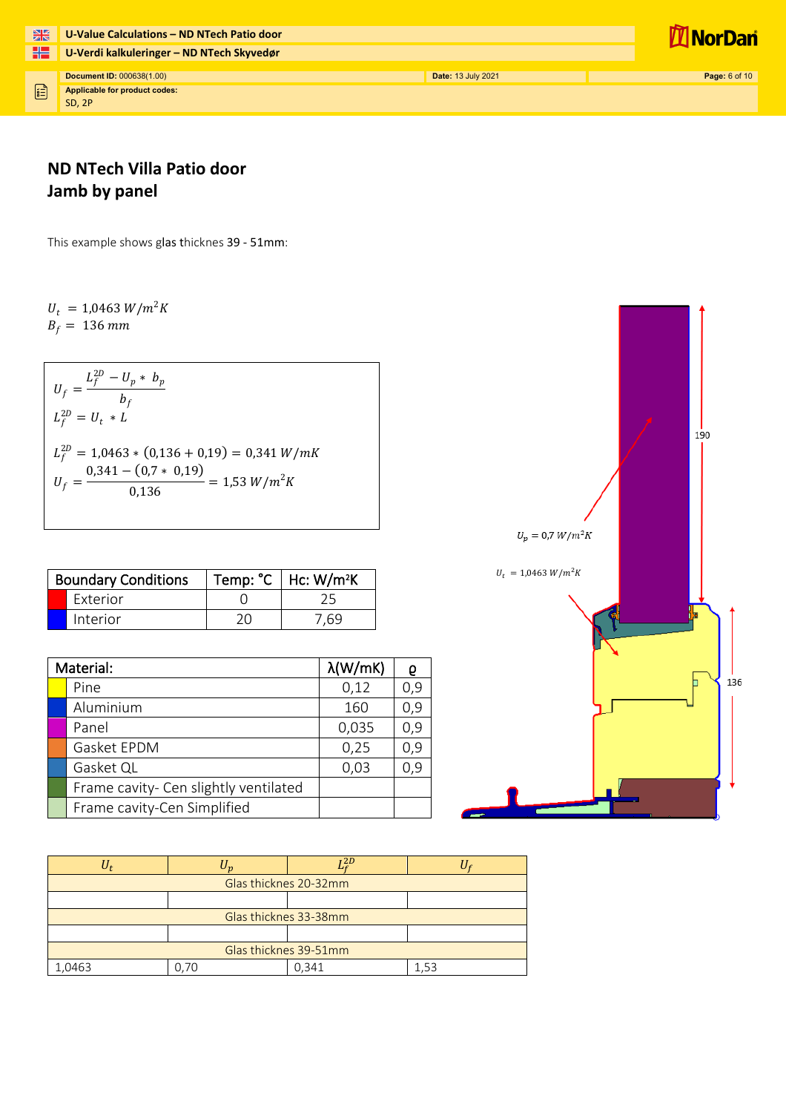| H <sub>2</sub> | U-Value Calculations - ND NTech Patio door |                           | <u>I'll NorDani</u>  |
|----------------|--------------------------------------------|---------------------------|----------------------|
| ٢٢             | U-Verdi kalkuleringer - ND NTech Skyvedør  |                           |                      |
|                | Document ID: 000638(1.00)                  | <b>Date: 13 July 2021</b> | <b>Page: 6 of 10</b> |
| E              | Applicable for product codes:<br>SD, 2P    |                           |                      |

### **ND NTech Villa Patio door Jamb by panel**

This example shows glas thicknes 39 - 51mm:

 $U_t = 1,0463 W/m^2K$  $B_f = 136$  mm

 $U_f = \frac{L_f^{2D} - U_p * b_p}{h_e}$  $b_f$  $L_f^{2D} = U_t * L$  $L_f^{2D} = 1,0463 * (0,136 + 0,19) = 0,341 W/m$  $U_f = \frac{0.341 - (0.7 * 0.19)}{0.136} = 1.53 W/m^2K$ 

| <b>Boundary Conditions</b> |    | Temp: $°C$   Hc: W/m <sup>2</sup> K |
|----------------------------|----|-------------------------------------|
| <b>Exterior</b>            |    |                                     |
| Interior                   | 20 | - 69                                |

| Material:                             | $\lambda$ (W/mK) |     |
|---------------------------------------|------------------|-----|
| Pine                                  | 0,12             | 0,9 |
| Aluminium                             | 160              | 0,9 |
| Panel                                 | 0,035            | 0,9 |
| Gasket EPDM                           | 0,25             | 0,9 |
| Gasket QL                             | 0,03             | 0,9 |
| Frame cavity- Cen slightly ventilated |                  |     |
| Frame cavity-Cen Simplified           |                  |     |

|                                         |                       | r 2 D |  |  |
|-----------------------------------------|-----------------------|-------|--|--|
| Glas thicknes 20-32mm                   |                       |       |  |  |
|                                         |                       |       |  |  |
|                                         | Glas thicknes 33-38mm |       |  |  |
|                                         |                       |       |  |  |
| Glas thicknes 39-51mm                   |                       |       |  |  |
| $\bigcap$ $\bigcap$ $\bigcap$ $\bigcap$ |                       | 0,341 |  |  |

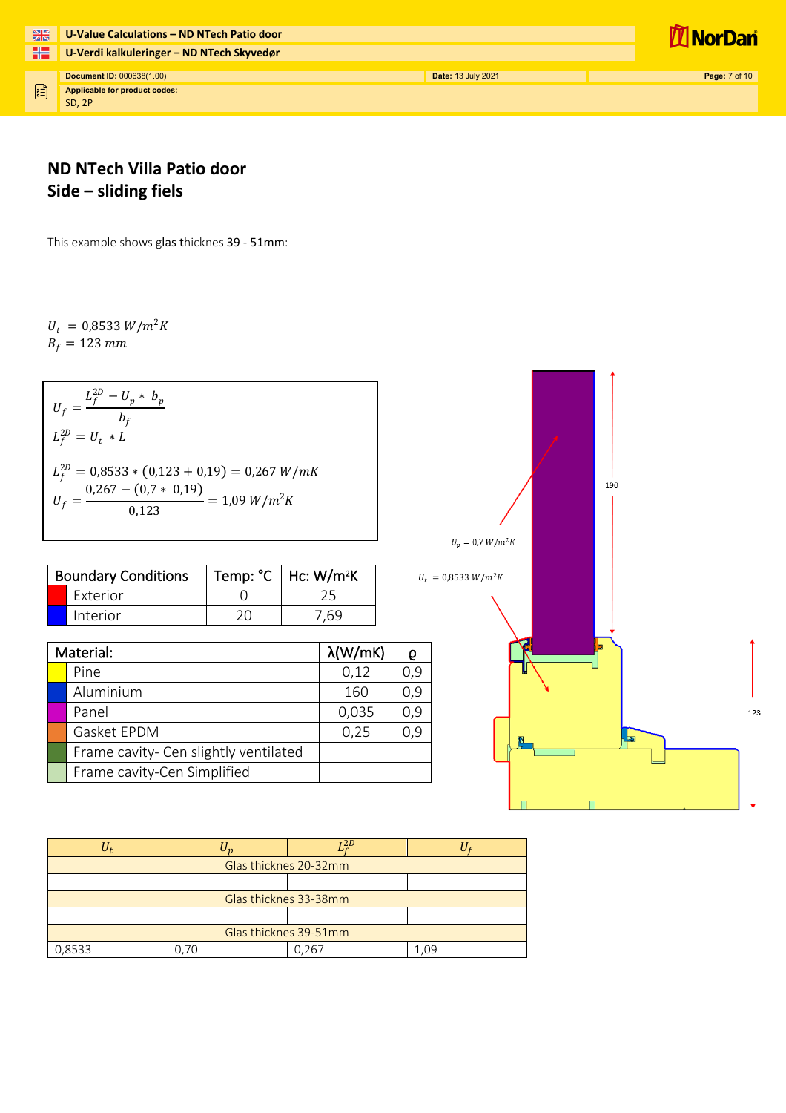| 米  | U-Value Calculations - ND NTech Patio door |                           | <b>NorDan</b>        |
|----|--------------------------------------------|---------------------------|----------------------|
| HS | U-Verdi kalkuleringer - ND NTech Skyvedør  |                           |                      |
|    | <b>Document ID: 000638(1.00)</b>           | <b>Date: 13 July 2021</b> | <b>Page: 7 of 10</b> |
| E  | Applicable for product codes:<br>SD, 2P    |                           |                      |

### **ND NTech Villa Patio door Side – sliding fiels**

This example shows glas thicknes 39 - 51mm:

 $U_t = 0.8533 W/m^2K$  $B_f = 123 \, mm$ 

 $U_f = \frac{L_f^{2D} - U_p * b_p}{h_e}$  $\boldsymbol{p}_f$  $L_f^{2D} = U_t * L$  $L_f^{2D} = 0.8533 * (0.123 + 0.19) = 0.267 W/m$  $U_f = \frac{0.267 - (0.7 * 0.19)}{0.123} = 1.09 W/m^2K$ 

| <b>Boundary Conditions</b> | Temp: °C   Hc: W/m <sup>2</sup> K |
|----------------------------|-----------------------------------|
| <b>Exterior</b>            |                                   |
| Interior                   | .69                               |

| Material:                             | $\lambda$ (W/mK) |     |
|---------------------------------------|------------------|-----|
| Pine                                  | 0,12             | 0,9 |
| Aluminium                             | 160              | 0,9 |
| Panel                                 | 0,035            | 0,9 |
| Gasket EPDM                           | 0,25             | 0,9 |
| Frame cavity- Cen slightly ventilated |                  |     |
| Frame cavity-Cen Simplified           |                  |     |



|                       |    | $-2D$                 |      |  |
|-----------------------|----|-----------------------|------|--|
| Glas thicknes 20-32mm |    |                       |      |  |
|                       |    |                       |      |  |
|                       |    | Glas thicknes 33-38mm |      |  |
|                       |    |                       |      |  |
| Glas thicknes 39-51mm |    |                       |      |  |
| 0,8533                | 70 | ገ 267                 | l.O9 |  |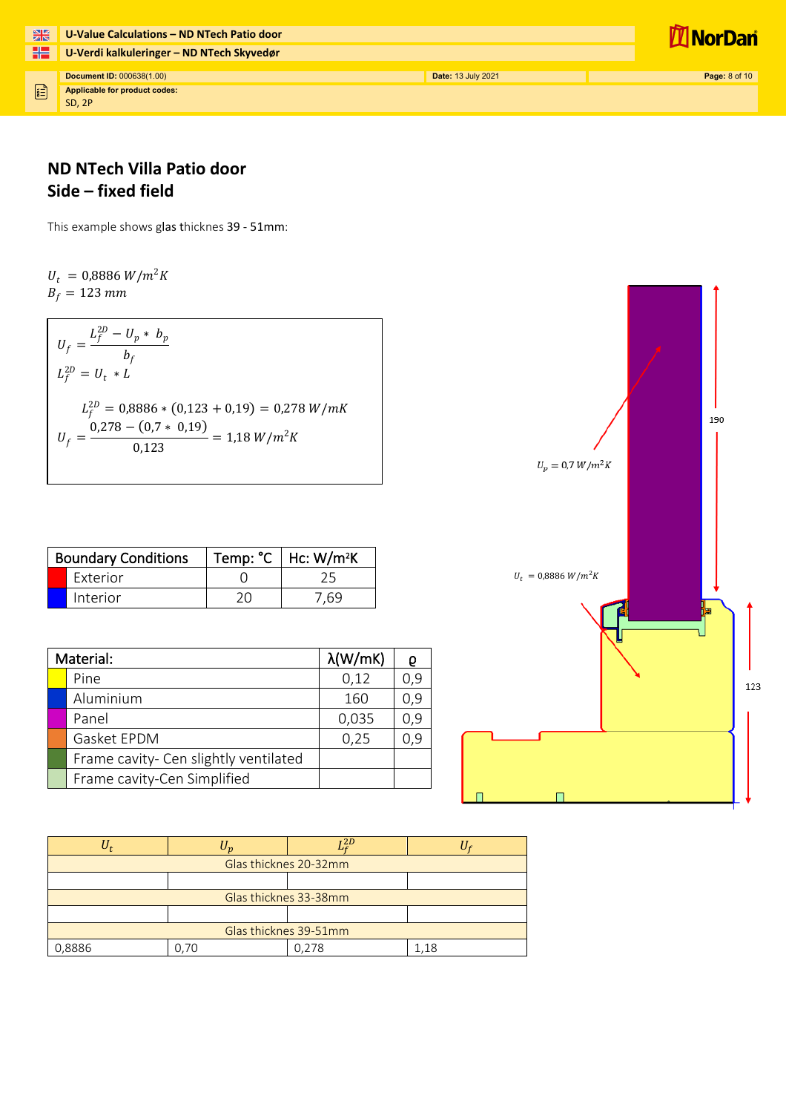| H <sub>2</sub> | U-Value Calculations - ND NTech Patio door |                           | <b>Il NorDan</b>     |
|----------------|--------------------------------------------|---------------------------|----------------------|
| ۲Z             | U-Verdi kalkuleringer - ND NTech Skyvedør  |                           |                      |
|                | Document ID: 000638(1.00)                  | <b>Date: 13 July 2021</b> | <b>Page: 8 of 10</b> |
| $\mathbb{E}$   | Applicable for product codes:<br>SD, 2P    |                           |                      |

#### **ND NTech Villa Patio door Side – fixed field**

This example shows glas thicknes 39 - 51mm:

 $U_t = 0,8886 W/m^2K$  $B_f = 123$  mm

 $U_f = \frac{L_f^{2D} - U_p * b_p}{h_c}$  $\boldsymbol{p}_f$  $L_f^{2D} = U_t * L$  $L_f^{2D} = 0,8886 * (0,123 + 0,19) = 0,278 W/m$  $U_f = \frac{0.278 - (0.7 * 0.19)}{0.123} = 1.18 W/m^2K$ 

| <b>Boundary Conditions</b> |                 | Temp: $°C$   Hc: W/m <sup>2</sup> K |
|----------------------------|-----------------|-------------------------------------|
|                            | <b>Exterior</b> |                                     |
|                            | Interior        | .69                                 |

| Material: |                                       | $\lambda$ (W/mK) |     |
|-----------|---------------------------------------|------------------|-----|
|           | Pine                                  | 0,12             | 0,9 |
|           | Aluminium                             | 160              | 0,9 |
|           | Panel                                 | 0,035            | 0,9 |
|           | Gasket EPDM                           | 0,25             | 0,9 |
|           | Frame cavity- Cen slightly ventilated |                  |     |
|           | Frame cavity-Cen Simplified           |                  |     |

|                       | $\boldsymbol{\eta}$ | 1 2 D |  |  |
|-----------------------|---------------------|-------|--|--|
| Glas thicknes 20-32mm |                     |       |  |  |
|                       |                     |       |  |  |
| Glas thicknes 33-38mm |                     |       |  |  |
|                       |                     |       |  |  |
| Glas thicknes 39-51mm |                     |       |  |  |
| 0,8886                |                     | 0.278 |  |  |

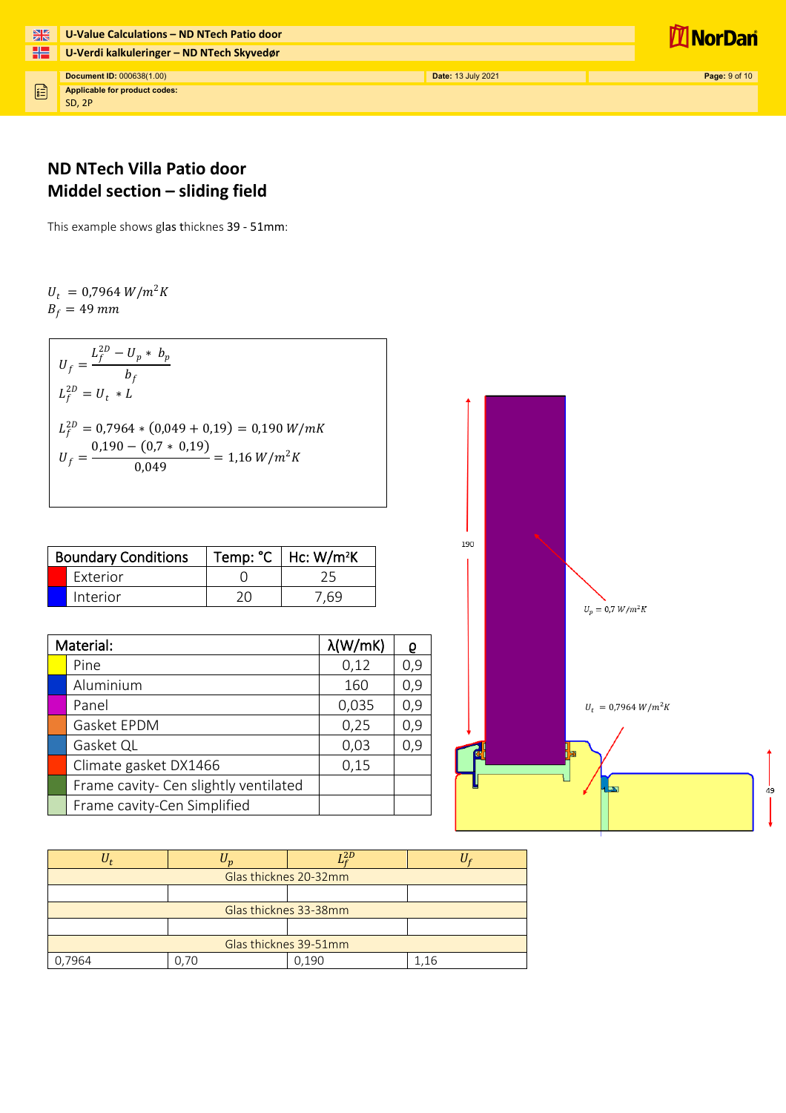

#### **ND NTech Villa Patio door Middel section – sliding field**

This example shows glas thicknes 39 - 51mm:

 $U_t = 0.7964 W/m^2K$  $B_f = 49$  mm

 $U_f = \frac{L_f^{2D} - U_p * b_p}{h_e}$  $b_f$  $L_f^{2D} = U_t * L$  $L_f^{2D} = 0.7964 * (0.049 + 0.19) = 0.190 W/m$  $U_f = \frac{0.190 - (0.7 * 0.19)}{0.049} = 1.16 W/m^2K$ 

| <b>Boundary Conditions</b> |                 | Temp: $°C$   Hc: W/m <sup>2</sup> K |
|----------------------------|-----------------|-------------------------------------|
|                            | <b>Exterior</b> |                                     |
|                            | Interior        | ' 69                                |

| Material:                             | $\lambda$ (W/mK) |     |
|---------------------------------------|------------------|-----|
| Pine                                  | 0,12             | 0,9 |
| Aluminium                             | 160              | 0,9 |
| Panel                                 | 0,035            | 0,9 |
| Gasket EPDM                           | 0,25             | 0,9 |
| Gasket QL                             | 0,03             | 0,9 |
| Climate gasket DX1466                 | 0,15             |     |
| Frame cavity- Cen slightly ventilated |                  |     |
| Frame cavity-Cen Simplified           |                  |     |



|                       |  | $-2D$ |  |  |
|-----------------------|--|-------|--|--|
| Glas thicknes 20-32mm |  |       |  |  |
|                       |  |       |  |  |
| Glas thicknes 33-38mm |  |       |  |  |
|                       |  |       |  |  |
| Glas thicknes 39-51mm |  |       |  |  |
| 7964                  |  | 0.190 |  |  |